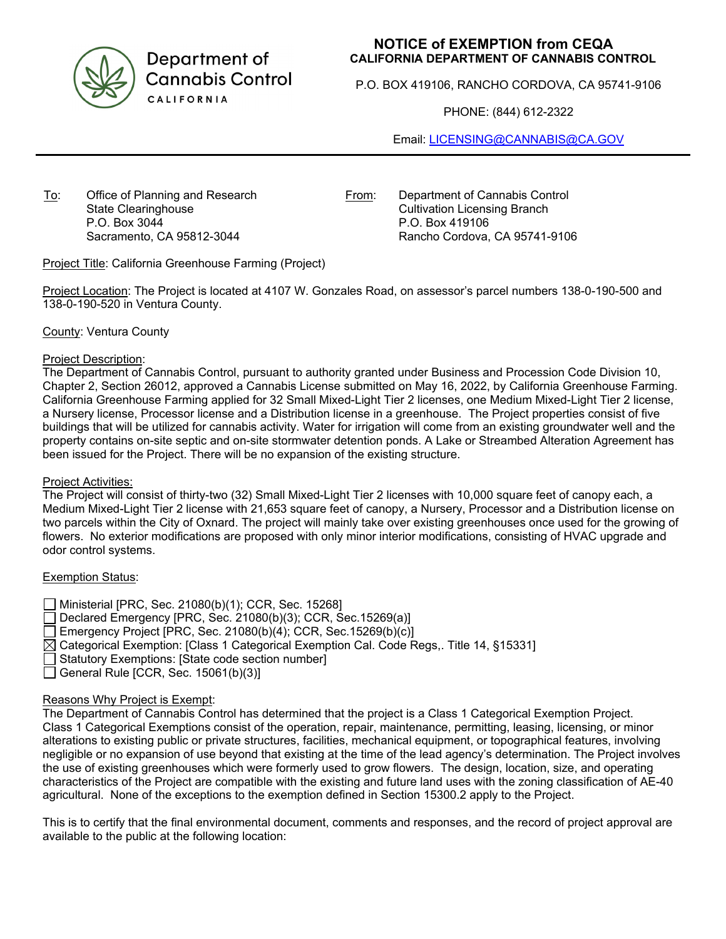

Department of **Cannabis Control CALIFORNIA** 

# **NOTICE of EXEMPTION from CEQA CALIFORNIA DEPARTMENT OF CANNABIS CONTROL**

P.O. BOX 419106, RANCHO CORDOVA, CA 95741-9106

PHONE: (844) 612-2322

Email: LICENSING@CANNABIS@CA.GOV

To: Office of Planning and Research State Clearinghouse P.O. Box 3044 Sacramento, CA 95812-3044

From: Department of Cannabis Control Cultivation Licensing Branch P.O. Box 419106 Rancho Cordova, CA 95741-9106

Project Title: California Greenhouse Farming (Project)

Project Location: The Project is located at 4107 W. Gonzales Road, on assessor's parcel numbers 138-0-190-500 and 138-0-190-520 in Ventura County.

County: Ventura County

### Project Description:

The Department of Cannabis Control, pursuant to authority granted under Business and Procession Code Division 10, Chapter 2, Section 26012, approved a Cannabis License submitted on May 16, 2022, by California Greenhouse Farming. California Greenhouse Farming applied for 32 Small Mixed-Light Tier 2 licenses, one Medium Mixed-Light Tier 2 license, a Nursery license, Processor license and a Distribution license in a greenhouse. The Project properties consist of five buildings that will be utilized for cannabis activity. Water for irrigation will come from an existing groundwater well and the property contains on-site septic and on-site stormwater detention ponds. A Lake or Streambed Alteration Agreement has been issued for the Project. There will be no expansion of the existing structure.

#### Project Activities:

The Project will consist of thirty-two (32) Small Mixed-Light Tier 2 licenses with 10,000 square feet of canopy each, a Medium Mixed-Light Tier 2 license with 21,653 square feet of canopy, a Nursery, Processor and a Distribution license on two parcels within the City of Oxnard. The project will mainly take over existing greenhouses once used for the growing of flowers. No exterior modifications are proposed with only minor interior modifications, consisting of HVAC upgrade and odor control systems.

# Exemption Status:

Ministerial [PRC, Sec. 21080(b)(1); CCR, Sec. 15268] Declared Emergency [PRC, Sec. 21080(b)(3); CCR, Sec. 15269(a)]  $\Box$  Emergency Project [PRC, Sec. 21080(b)(4); CCR, Sec.15269(b)(c)]  $\boxtimes$  Categorical Exemption: [Class 1 Categorical Exemption Cal. Code Regs,. Title 14, §15331] Statutory Exemptions: [State code section number]  $\Box$  General Rule [CCR, Sec. 15061(b)(3)]

# Reasons Why Project is Exempt:

The Department of Cannabis Control has determined that the project is a Class 1 Categorical Exemption Project. Class 1 Categorical Exemptions consist of the operation, repair, maintenance, permitting, leasing, licensing, or minor alterations to existing public or private structures, facilities, mechanical equipment, or topographical features, involving negligible or no expansion of use beyond that existing at the time of the lead agency's determination. The Project involves the use of existing greenhouses which were formerly used to grow flowers. The design, location, size, and operating characteristics of the Project are compatible with the existing and future land uses with the zoning classification of AE-40 agricultural. None of the exceptions to the exemption defined in Section 15300.2 apply to the Project.

This is to certify that the final environmental document, comments and responses, and the record of project approval are available to the public at the following location: